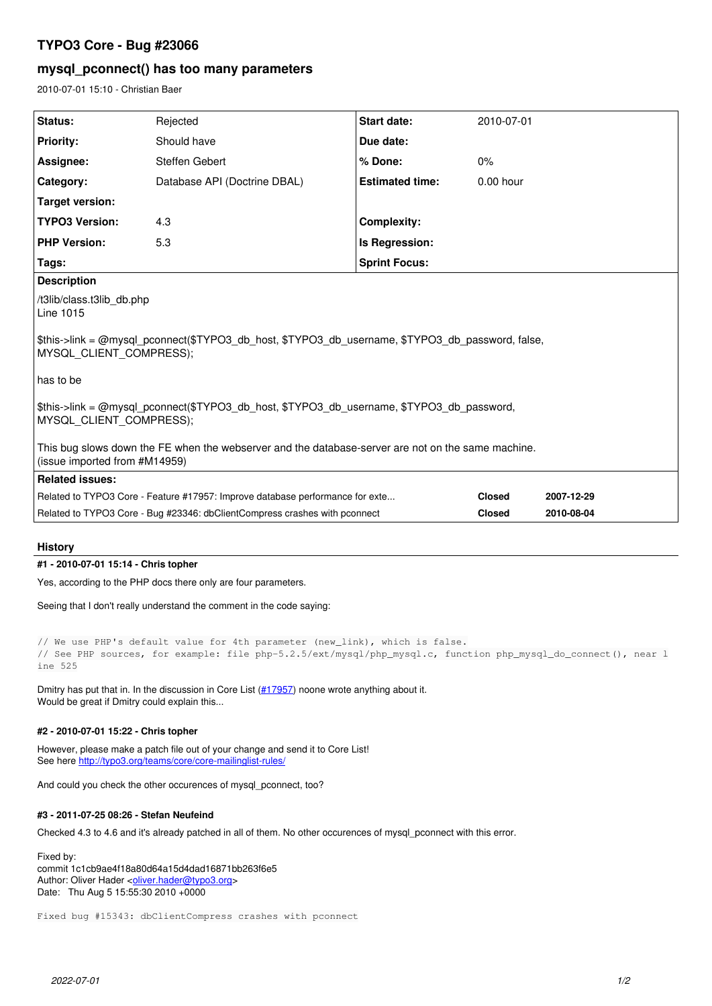# **TYPO3 Core - Bug #23066**

## **mysql\_pconnect() has too many parameters**

2010-07-01 15:10 - Christian Baer

| Status:                                                                                                                             | Rejected                     | Start date:            | 2010-07-01    |            |
|-------------------------------------------------------------------------------------------------------------------------------------|------------------------------|------------------------|---------------|------------|
| <b>Priority:</b>                                                                                                                    | Should have                  | Due date:              |               |            |
| Assignee:                                                                                                                           | Steffen Gebert               | % Done:                | 0%            |            |
| Category:                                                                                                                           | Database API (Doctrine DBAL) | <b>Estimated time:</b> | $0.00$ hour   |            |
| <b>Target version:</b>                                                                                                              |                              |                        |               |            |
| <b>TYPO3 Version:</b>                                                                                                               | 4.3                          | <b>Complexity:</b>     |               |            |
| <b>PHP Version:</b>                                                                                                                 | 5.3                          | Is Regression:         |               |            |
| <b>Sprint Focus:</b><br>Tags:                                                                                                       |                              |                        |               |            |
| <b>Description</b>                                                                                                                  |                              |                        |               |            |
| /t3lib/class.t3lib_db.php<br>Line 1015                                                                                              |                              |                        |               |            |
| \$this->link = @mysql pconnect(\$TYPO3 db host, \$TYPO3 db username, \$TYPO3 db password, false,<br>MYSQL CLIENT COMPRESS);         |                              |                        |               |            |
| l has to be                                                                                                                         |                              |                        |               |            |
| \$this->link = @mysql pconnect(\$TYPO3 db host, \$TYPO3 db username, \$TYPO3 db password,<br>MYSQL CLIENT COMPRESS);                |                              |                        |               |            |
| This bug slows down the FE when the webserver and the database-server are not on the same machine.<br>(issue imported from #M14959) |                              |                        |               |            |
| <b>Related issues:</b>                                                                                                              |                              |                        |               |            |
| Related to TYPO3 Core - Feature #17957: Improve database performance for exte                                                       |                              |                        | <b>Closed</b> | 2007-12-29 |
| Related to TYPO3 Core - Bug #23346: dbClientCompress crashes with pconnect                                                          |                              |                        | <b>Closed</b> | 2010-08-04 |

## **History**

**#1 - 2010-07-01 15:14 - Chris topher**

Yes, according to the PHP docs there only are four parameters.

Seeing that I don't really understand the comment in the code saying:

```
// We use PHP's default value for 4th parameter (new_link), which is false.
// See PHP sources, for example: file php-5.2.5/ext/mysql/php_mysql.c, function php_mysql_do_connect(), near l
ine 525
```
Dmitry has put that in. In the discussion in Core List [\(#17957](https://forge.typo3.org/issues/17957)) noone wrote anything about it. Would be great if Dmitry could explain this...

### **#2 - 2010-07-01 15:22 - Chris topher**

However, please make a patch file out of your change and send it to Core List! See here <http://typo3.org/teams/core/core-mailinglist-rules/>

And could you check the other occurences of mysql\_pconnect, too?

#### **#3 - 2011-07-25 08:26 - Stefan Neufeind**

Checked 4.3 to 4.6 and it's already patched in all of them. No other occurences of mysql\_pconnect with this error.

Fixed by: commit 1c1cb9ae4f18a80d64a15d4dad16871bb263f6e5 Author: Oliver Hader <[oliver.hader@typo3.org](mailto:oliver.hader@typo3.org)> Date: Thu Aug 5 15:55:30 2010 +0000

Fixed bug #15343: dbClientCompress crashes with pconnect